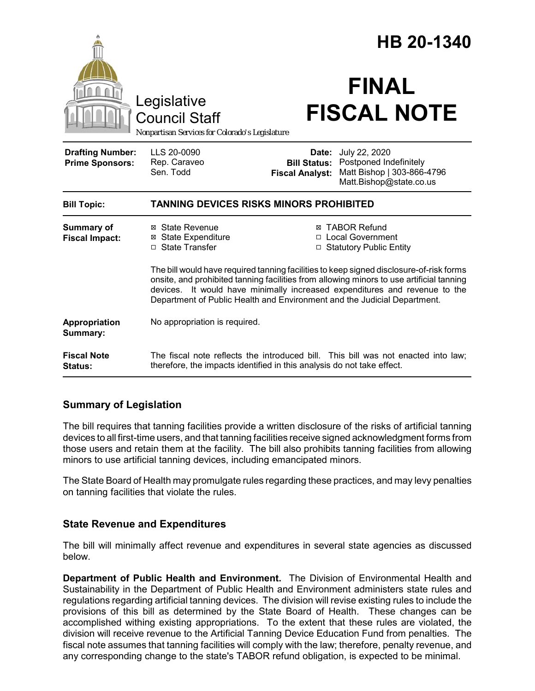|                                                   |                                                                                                                                                                                                                                                                                                                                               | HB 20-1340                                                                                                                                                        |
|---------------------------------------------------|-----------------------------------------------------------------------------------------------------------------------------------------------------------------------------------------------------------------------------------------------------------------------------------------------------------------------------------------------|-------------------------------------------------------------------------------------------------------------------------------------------------------------------|
|                                                   | Legislative<br><b>Council Staff</b><br>Nonpartisan Services for Colorado's Legislature                                                                                                                                                                                                                                                        | <b>FINAL</b><br><b>FISCAL NOTE</b>                                                                                                                                |
| <b>Drafting Number:</b><br><b>Prime Sponsors:</b> | LLS 20-0090<br>Rep. Caraveo<br>Sen. Todd                                                                                                                                                                                                                                                                                                      | July 22, 2020<br><b>Date:</b><br>Postponed Indefinitely<br><b>Bill Status:</b><br>Matt Bishop   303-866-4796<br><b>Fiscal Analyst:</b><br>Matt.Bishop@state.co.us |
| <b>Bill Topic:</b>                                | <b>TANNING DEVICES RISKS MINORS PROHIBITED</b>                                                                                                                                                                                                                                                                                                |                                                                                                                                                                   |
| <b>Summary of</b><br><b>Fiscal Impact:</b>        | ⊠ State Revenue<br><b>⊠</b> State Expenditure<br>□ State Transfer                                                                                                                                                                                                                                                                             | <b>⊠ TABOR Refund</b><br>□ Local Government<br>□ Statutory Public Entity                                                                                          |
|                                                   | The bill would have required tanning facilities to keep signed disclosure-of-risk forms<br>onsite, and prohibited tanning facilities from allowing minors to use artificial tanning<br>devices. It would have minimally increased expenditures and revenue to the<br>Department of Public Health and Environment and the Judicial Department. |                                                                                                                                                                   |
| Appropriation<br>Summary:                         | No appropriation is required.                                                                                                                                                                                                                                                                                                                 |                                                                                                                                                                   |
| <b>Fiscal Note</b><br><b>Status:</b>              | The fiscal note reflects the introduced bill. This bill was not enacted into law;<br>therefore, the impacts identified in this analysis do not take effect.                                                                                                                                                                                   |                                                                                                                                                                   |

## **Summary of Legislation**

The bill requires that tanning facilities provide a written disclosure of the risks of artificial tanning devices to all first-time users, and that tanning facilities receive signed acknowledgment forms from those users and retain them at the facility. The bill also prohibits tanning facilities from allowing minors to use artificial tanning devices, including emancipated minors.

The State Board of Health may promulgate rules regarding these practices, and may levy penalties on tanning facilities that violate the rules.

## **State Revenue and Expenditures**

The bill will minimally affect revenue and expenditures in several state agencies as discussed below.

**Department of Public Health and Environment.** The Division of Environmental Health and Sustainability in the Department of Public Health and Environment administers state rules and regulations regarding artificial tanning devices. The division will revise existing rules to include the provisions of this bill as determined by the State Board of Health. These changes can be accomplished withing existing appropriations. To the extent that these rules are violated, the division will receive revenue to the Artificial Tanning Device Education Fund from penalties. The fiscal note assumes that tanning facilities will comply with the law; therefore, penalty revenue, and any corresponding change to the state's TABOR refund obligation, is expected to be minimal.